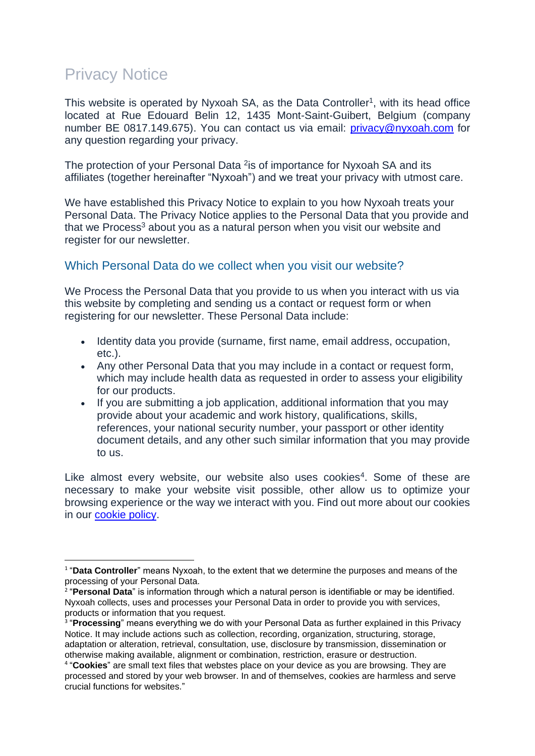# Privacy Notice

This website is operated by Nyxoah SA, as the Data Controller<sup>1</sup>, with its head office located at Rue Edouard Belin 12, 1435 Mont-Saint-Guibert, Belgium (company number BE 0817.149.675). You can contact us via email: [privacy@nyxoah.com](mailto:privacy@nyxoah.com) for any question regarding your privacy.

The protection of your Personal Data <sup>2</sup> is of importance for Nyxoah SA and its affiliates (together hereinafter "Nyxoah") and we treat your privacy with utmost care.

We have established this Privacy Notice to explain to you how Nyxoah treats your Personal Data. The Privacy Notice applies to the Personal Data that you provide and that we Process<sup>3</sup> about you as a natural person when you visit our website and register for our newsletter.

## Which Personal Data do we collect when you visit our website?

We Process the Personal Data that you provide to us when you interact with us via this website by completing and sending us a contact or request form or when registering for our newsletter. These Personal Data include:

- Identity data you provide (surname, first name, email address, occupation, etc.).
- Any other Personal Data that you may include in a contact or request form, which may include health data as requested in order to assess your eligibility for our products.
- If you are submitting a job application, additional information that you may provide about your academic and work history, qualifications, skills, references, your national security number, your passport or other identity document details, and any other such similar information that you may provide to us.

Like almost every website, our website also uses cookies<sup>4</sup>. Some of these are necessary to make your website visit possible, other allow us to optimize your browsing experience or the way we interact with you. Find out more about our cookies in our [cookie policy.](https://www.nyxoah.com/cookie-policy-nyxoah)

<sup>&</sup>lt;sup>1</sup> "Data Controller" means Nyxoah, to the extent that we determine the purposes and means of the processing of your Personal Data.

<sup>2</sup> "**Personal Data**" is information through which a natural person is identifiable or may be identified. Nyxoah collects, uses and processes your Personal Data in order to provide you with services, products or information that you request.

<sup>&</sup>lt;sup>3</sup> "Processing" means everything we do with your Personal Data as further explained in this Privacy Notice. It may include actions such as collection, recording, organization, structuring, storage, adaptation or alteration, retrieval, consultation, use, disclosure by transmission, dissemination or otherwise making available, alignment or combination, restriction, erasure or destruction.

<sup>4</sup> "**Cookies**" are small text files that webstes place on your device as you are browsing. They are processed and stored by your web browser. In and of themselves, cookies are harmless and serve crucial functions for websites."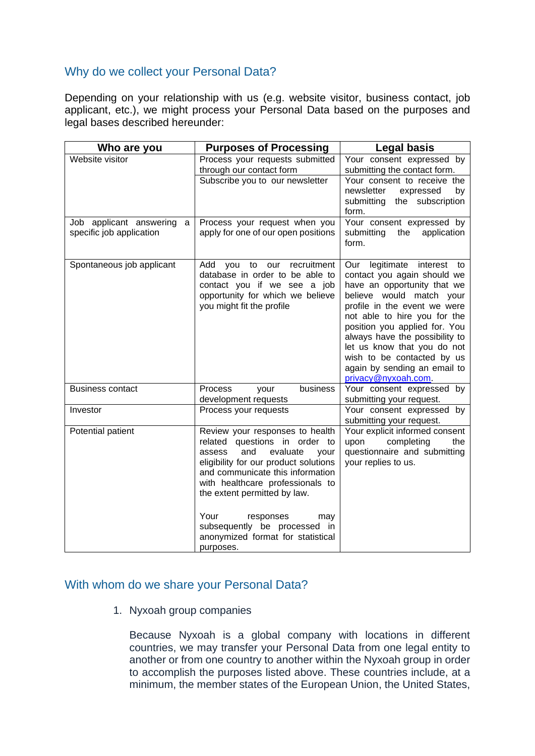# Why do we collect your Personal Data?

Depending on your relationship with us (e.g. website visitor, business contact, job applicant, etc.), we might process your Personal Data based on the purposes and legal bases described hereunder:

| Who are you                                              | <b>Purposes of Processing</b>                                                                                                                                                                                                                                                                                                                                        | <b>Legal basis</b>                                                                                                                                                                                                                                                                                                                                                               |
|----------------------------------------------------------|----------------------------------------------------------------------------------------------------------------------------------------------------------------------------------------------------------------------------------------------------------------------------------------------------------------------------------------------------------------------|----------------------------------------------------------------------------------------------------------------------------------------------------------------------------------------------------------------------------------------------------------------------------------------------------------------------------------------------------------------------------------|
| Website visitor                                          | Process your requests submitted<br>through our contact form<br>Subscribe you to our newsletter                                                                                                                                                                                                                                                                       | Your consent expressed by<br>submitting the contact form.<br>Your consent to receive the<br>newsletter<br>expressed<br>by<br>submitting<br>the subscription<br>form.                                                                                                                                                                                                             |
| Job applicant answering<br>a<br>specific job application | Process your request when you<br>apply for one of our open positions                                                                                                                                                                                                                                                                                                 | Your consent expressed by<br>submitting<br>the<br>application<br>form.                                                                                                                                                                                                                                                                                                           |
| Spontaneous job applicant                                | recruitment<br>Add<br>to<br>our<br>you<br>database in order to be able to<br>contact you if we see a job<br>opportunity for which we believe<br>you might fit the profile                                                                                                                                                                                            | legitimate interest<br>Our<br>to<br>contact you again should we<br>have an opportunity that we<br>believe would match your<br>profile in the event we were<br>not able to hire you for the<br>position you applied for. You<br>always have the possibility to<br>let us know that you do not<br>wish to be contacted by us<br>again by sending an email to<br>privacy@nyxoah.com |
| <b>Business contact</b>                                  | business<br>Process<br>your<br>development requests                                                                                                                                                                                                                                                                                                                  | Your consent expressed by<br>submitting your request.                                                                                                                                                                                                                                                                                                                            |
| Investor                                                 | Process your requests                                                                                                                                                                                                                                                                                                                                                | Your consent expressed by<br>submitting your request.                                                                                                                                                                                                                                                                                                                            |
| Potential patient                                        | Review your responses to health<br>related questions in order to<br>evaluate<br>assess<br>and<br>your<br>eligibility for our product solutions<br>and communicate this information<br>with healthcare professionals to<br>the extent permitted by law.<br>Your<br>responses<br>may<br>subsequently be processed in<br>anonymized format for statistical<br>purposes. | Your explicit informed consent<br>upon<br>completing<br>the<br>questionnaire and submitting<br>your replies to us.                                                                                                                                                                                                                                                               |

## With whom do we share your Personal Data?

1. Nyxoah group companies

Because Nyxoah is a global company with locations in different countries, we may transfer your Personal Data from one legal entity to another or from one country to another within the Nyxoah group in order to accomplish the purposes listed above. These countries include, at a minimum, the member states of the European Union, the United States,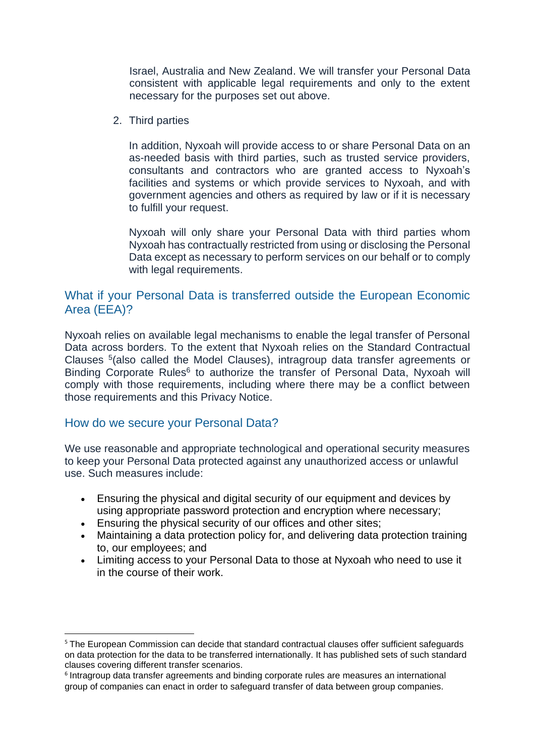Israel, Australia and New Zealand. We will transfer your Personal Data consistent with applicable legal requirements and only to the extent necessary for the purposes set out above.

2. Third parties

In addition, Nyxoah will provide access to or share Personal Data on an as-needed basis with third parties, such as trusted service providers, consultants and contractors who are granted access to Nyxoah's facilities and systems or which provide services to Nyxoah, and with government agencies and others as required by law or if it is necessary to fulfill your request.

Nyxoah will only share your Personal Data with third parties whom Nyxoah has contractually restricted from using or disclosing the Personal Data except as necessary to perform services on our behalf or to comply with legal requirements.

# What if your Personal Data is transferred outside the European Economic Area (EEA)?

Nyxoah relies on available legal mechanisms to enable the legal transfer of Personal Data across borders. To the extent that Nyxoah relies on the Standard Contractual Clauses <sup>5</sup> (also called the Model Clauses), intragroup data transfer agreements or Binding Corporate Rules<sup>6</sup> to authorize the transfer of Personal Data, Nyxoah will comply with those requirements, including where there may be a conflict between those requirements and this Privacy Notice.

### How do we secure your Personal Data?

We use reasonable and appropriate technological and operational security measures to keep your Personal Data protected against any unauthorized access or unlawful use. Such measures include:

- Ensuring the physical and digital security of our equipment and devices by using appropriate password protection and encryption where necessary;
- Ensuring the physical security of our offices and other sites;
- Maintaining a data protection policy for, and delivering data protection training to, our employees; and
- Limiting access to your Personal Data to those at Nyxoah who need to use it in the course of their work.

<sup>&</sup>lt;sup>5</sup> The European Commission can decide that standard contractual clauses offer sufficient safeguards on data protection for the data to be transferred internationally. It has published sets of such standard clauses covering different transfer scenarios.

<sup>6</sup> Intragroup data transfer agreements and binding corporate rules are measures an international group of companies can enact in order to safeguard transfer of data between group companies.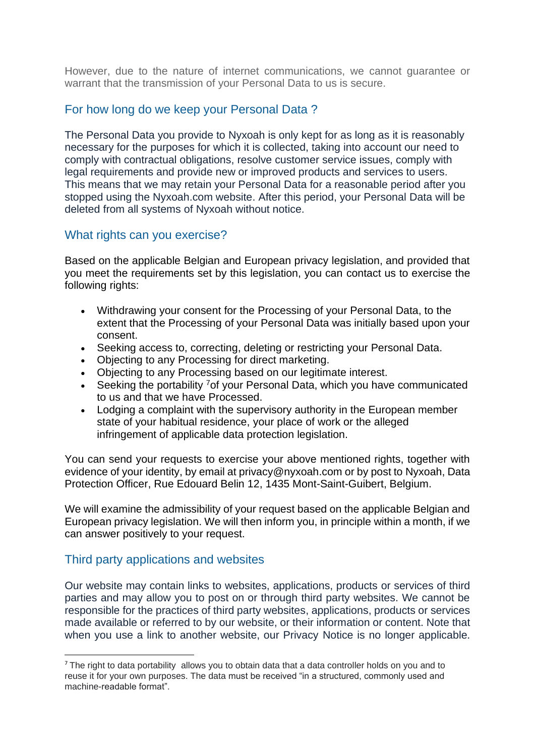However, due to the nature of internet communications, we cannot guarantee or warrant that the transmission of your Personal Data to us is secure.

# For how long do we keep your Personal Data ?

The Personal Data you provide to Nyxoah is only kept for as long as it is reasonably necessary for the purposes for which it is collected, taking into account our need to comply with contractual obligations, resolve customer service issues, comply with legal requirements and provide new or improved products and services to users. This means that we may retain your Personal Data for a reasonable period after you stopped using the Nyxoah.com website. After this period, your Personal Data will be deleted from all systems of Nyxoah without notice.

## What rights can you exercise?

Based on the applicable Belgian and European privacy legislation, and provided that you meet the requirements set by this legislation, you can contact us to exercise the following rights:

- Withdrawing your consent for the Processing of your Personal Data, to the extent that the Processing of your Personal Data was initially based upon your consent.
- Seeking access to, correcting, deleting or restricting your Personal Data.
- Objecting to any Processing for direct marketing.
- Objecting to any Processing based on our legitimate interest.
- Seeking the portability <sup>7</sup> of your Personal Data, which you have communicated to us and that we have Processed.
- Lodging a complaint with the supervisory authority in the European member state of your habitual residence, your place of work or the alleged infringement of applicable data protection legislation.

You can send your requests to exercise your above mentioned rights, together with evidence of your identity, by email at privacy@nyxoah.com or by post to Nyxoah, Data Protection Officer, Rue Edouard Belin 12, 1435 Mont-Saint-Guibert, Belgium.

We will examine the admissibility of your request based on the applicable Belgian and European privacy legislation. We will then inform you, in principle within a month, if we can answer positively to your request.

## Third party applications and websites

Our website may contain links to websites, applications, products or services of third parties and may allow you to post on or through third party websites. We cannot be responsible for the practices of third party websites, applications, products or services made available or referred to by our website, or their information or content. Note that when you use a link to another website, our Privacy Notice is no longer applicable.

<sup>&</sup>lt;sup>7</sup> The right to data portability allows you to obtain data that a data controller holds on you and to reuse it for your own purposes. The data must be received "in a structured, commonly used and machine-readable format".